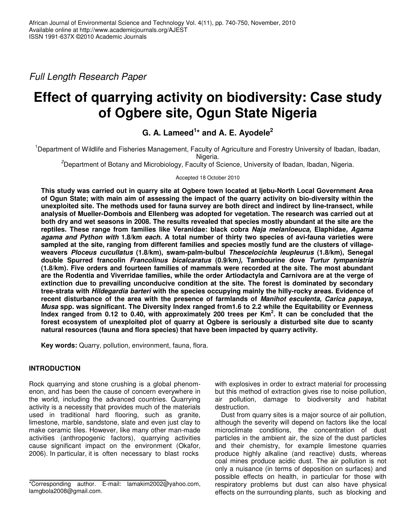*Full Length Research Paper*

# **Effect of quarrying activity on biodiversity: Case study of Ogbere site, Ogun State Nigeria**

# **G. A. Lameed 1 \* and A. E. Ayodele 2**

<sup>1</sup>Department of Wildlife and Fisheries Management, Faculty of Agriculture and Forestry University of Ibadan, Ibadan, Nigeria.

*<sup>2</sup>*Department of Botany and Microbiology, Faculty of Science, University of Ibadan, Ibadan, Nigeria.

Accepted 18 October 2010

**This study was carried out in quarry site at Ogbere town located at Ijebu-North Local Government Area** of Ogun State; with main aim of assessing the impact of the quarry activity on bio-diversity within the **unexploited site. The methods used for fauna survey are both direct and indirect by line-transect, while analysis of Mueller-Dombois and Ellenberg was adopted for vegetation. The research was carried out at** both dry and wet seasons in 2008. The results revealed that species mostly abundant at the site are the **reptiles. These range from families like Veranidae: black cobra** *Naja melanloeuca,* **Elaphidae***, Agama agama and Python with* **1.8/km** *each.* **A total number of thirty two species of avi-fauna varieties were** sampled at the site, ranging from different families and species mostly fund are the clusters of village**weavers** *Ploceus cucullatus* **(1.8/km), swam-palm-bulbul** *Thescelocichla leupleurus* **(1.8/km), Senegal double Spurred francolin** *Francolinus bicalcaratus* **(0.9/km***),* **Tambourine dove** *Turtur tympanistria* **(1.8/km)***.* **Five orders and fourteen families of mammals were recorded at the site. The most abundant are the Rodentia and Viverridae families, while the order Artiodactyla and Carnivora are at the verge of extinction due to prevailing unconducive condition at the site. The forest is dominated by secondary tree-strata with** *Hildegardia barteri* **with the species occupying mainly the hilly-rocky areas. Evidence of recent disturbance of the area with the presence of farmlands of** *Manihot esculenta, Carica papaya, Musa* **spp. was significant***.* **The Diversity Index ranged from1.6 to 2.2 while the Equitability or Evenness** Index ranged from 0.12 to 0.40, with approximately 200 trees per Km<sup>2</sup>. It can be concluded that the **forest ecosystem of unexploited plot of quarry at Ogbere is seriously a disturbed site due to scanty natural resources (fauna and flora species) that have been impacted by quarry activity.**

**Key words:** Quarry, pollution, environment, fauna, flora.

# **INTRODUCTION**

Rock quarrying and stone crushing is a global phenomenon, and has been the cause of concern everywhere in the world, including the advanced countries. Quarrying activity is a necessity that provides much of the materials used in traditional hard flooring, such as granite, limestone, marble, sandstone, slate and even just clay to make ceramic tiles. However, like many other man-made activities (anthropogenic factors), quarrying activities cause significant impact on the environment (Okafor, 2006). In particular, it is often necessary to blast rocks

with explosives in order to extract material for processing but this method of extraction gives rise to noise pollution, air pollution, damage to biodiversity and habitat destruction.

Dust from quarry sites is a major source of air pollution, although the severity will depend on factors like the local microclimate conditions, the concentration of dust particles in the ambient air, the size of the dust particles and their chemistry, for example limestone quarries produce highly alkaline (and reactive) dusts, whereas coal mines produce acidic dust. The air pollution is not only a nuisance (in terms of deposition on surfaces) and possible effects on health, in particular for those with respiratory problems but dust can also have physical effects on the surrounding plants, such as blocking and

<sup>\*</sup>Corresponding author. E-mail: lamakim2002@yahoo.com, lamgbola2008@gmail.com.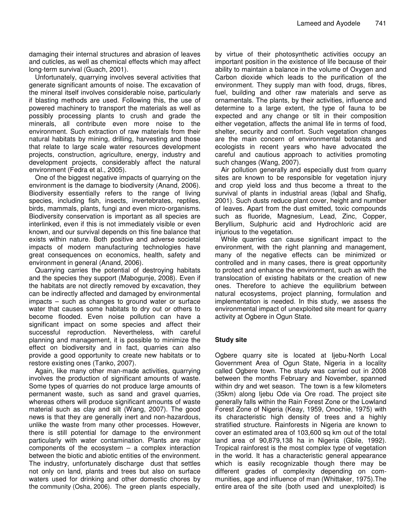damaging their internal structures and abrasion of leaves and cuticles, as well as chemical effects which may affect long-term survival (Guach, 2001).

Unfortunately, quarrying involves several activities that generate significant amounts of noise. The excavation of the mineral itself involves considerable noise, particularly if blasting methods are used. Following this, the use of powered machinery to transport the materials as well as possibly processing plants to crush and grade the minerals, all contribute even more noise to the environment. Such extraction of raw materials from their natural habitats by mining, drilling, harvesting and those that relate to large scale water resources development projects, construction, agriculture, energy, industry and development projects, considerably affect the natural environment (Fedra et al., 2005).

One of the biggest negative impacts of quarrying on the environment is the damage to biodiversity (Anand, 2006). Biodiversity essentially refers to the range of living species, including fish, insects, invertebrates, reptiles, birds, mammals, plants, fungi and even micro-organisms. Biodiversity conservation is important as all species are interlinked, even if this is not immediately visible or even known, and our survival depends on this fine balance that exists within nature. Both positive and adverse societal impacts of modern manufacturing technologies have great consequences on economics, health, safety and environment in general (Anand, 2006).

Quarrying carries the potential of destroying habitats and the species they support (Mabogunje, 2008). Even if the habitats are not directly removed by excavation, they can be indirectly affected and damaged by environmental impacts – such as changes to ground water or surface water that causes some habitats to dry out or others to become flooded. Even noise pollution can have a significant impact on some species and affect their successful reproduction. Nevertheless, with careful planning and management, it is possible to minimize the effect on biodiversity and in fact, quarries can also provide a good opportunity to create new habitats or to restore existing ones (Tanko, 2007).

Again, like many other man-made activities, quarrying involves the production of significant amounts of waste. Some types of quarries do not produce large amounts of permanent waste, such as sand and gravel quarries, whereas others will produce significant amounts of waste material such as clay and silt (Wang, 2007). The good news is that they are generally inert and non-hazardous, unlike the waste from many other processes. However, there is still potential for damage to the environment particularly with water contamination. Plants are major components of the ecosystem  $-$  a complex interaction between the biotic and abiotic entities of the environment. The industry, unfortunately discharge dust that settles not only on land, plants and trees but also on surface waters used for drinking and other domestic chores by the community (Osha, 2006). The green plants especially,

by virtue of their photosynthetic activities occupy an important position in the existence of life because of their ability to maintain a balance in the volume of Oxygen and Carbon dioxide which leads to the purification of the environment. They supply man with food, drugs, fibres, fuel, building and other raw materials and serve as ornamentals. The plants, by their activities, influence and determine to a large extent, the type of fauna to be expected and any change or tilt in their composition either vegetation, affects the animal life in terms of food, shelter, security and comfort. Such vegetation changes are the main concern of environmental botanists and ecologists in recent years who have advocated the careful and cautious approach to activities promoting such changes (Wang, 2007).

Air pollution generally and especially dust from quarry sites are known to be responsible for vegetation injury and crop yield loss and thus become a threat to the survival of plants in industrial areas (Iqbal and Shafig, 2001). Such dusts reduce plant cover, height and number of leaves. Apart from the dust emitted, toxic compounds such as fluoride, Magnesium, Lead, Zinc, Copper, Beryllium, Sulphuric acid and Hydrochloric acid are injurious to the vegetation.

While quarries can cause significant impact to the environment, with the right planning and management, many of the negative effects can be minimized or controlled and in many cases, there is great opportunity to protect and enhance the environment, such as with the translocation of existing habitats or the creation of new ones. Therefore to achieve the equilibrium between natural ecosystems, project planning, formulation and implementation is needed. In this study, we assess the environmental impact of unexploited site meant for quarry activity at Ogbere in Ogun State.

## **Study site**

Ogbere quarry site is located at Ijebu-North Local Government Area of Ogun State, Nigeria in a locality called Ogbere town. The study was carried out in 2008 between the months February and November, spanned within dry and wet season. The town is a few kilometers (35km) along Ijebu Ode via Ore road. The project site generally falls within the Rain Forest Zone or the Lowland Forest Zone of Nigeria (Keay, 1959, Onochie, 1975) with its characteristic high density of trees and a highly stratified structure. Rainforests in Nigeria are known to cover an estimated area of 103,600 sq km out of the total land area of 90,879,138 ha in Nigeria (Gbile, 1992). Tropical rainforest is the most complex type of vegetation in the world. It has a characteristic general appearance which is easily recognizable though there may be different grades of complexity depending on communities, age and influence of man (Whittaker, 1975).The entire area of the site (both used and unexploited) is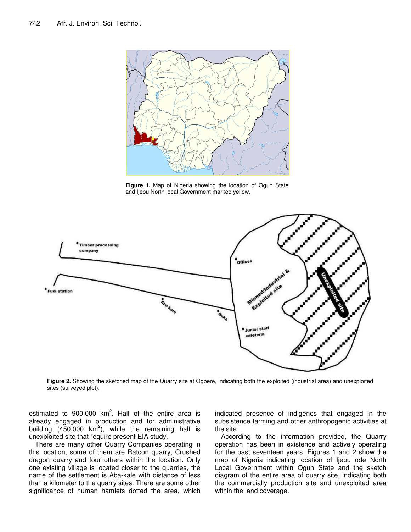

**Figure 1.** Map of Nigeria showing the location of Ogun State and Ijebu North local Government marked yellow.



**Figure 2.** Showing the sketched map of the Quarry site at Ogbere, indicating both the exploited (industrial area) and unexploited sites (surveyed plot).

estimated to 900,000 km<sup>2</sup>. Half of the entire area is already engaged in production and for administrative building  $(450,000 \text{ km}^2)$ , while the remaining half is unexploited site that require present EIA study.

There are many other Quarry Companies operating in this location, some of them are Ratcon quarry, Crushed dragon quarry and four others within the location. Only one existing village is located closer to the quarries, the name of the settlement is Aba-kale with distance of less than a kilometer to the quarry sites. There are some other significance of human hamlets dotted the area, which indicated presence of indigenes that engaged in the subsistence farming and other anthropogenic activities at the site.

According to the information provided, the Quarry operation has been in existence and actively operating for the past seventeen years. Figures 1 and 2 show the map of Nigeria indicating location of Ijebu ode North Local Government within Ogun State and the sketch diagram of the entire area of quarry site, indicating both the commercially production site and unexploited area within the land coverage.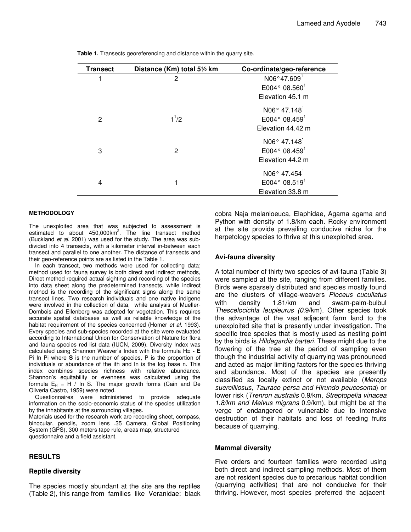| <b>Transect</b> | Distance (Km) total 51/2 km | Co-ordinate/geo-reference |
|-----------------|-----------------------------|---------------------------|
|                 | 2                           | N06°47.6091               |
|                 |                             | E004°08.560 <sup>1</sup>  |
|                 |                             | Elevation 45.1 m          |
|                 |                             | N06° 47.148 <sup>1</sup>  |
| 2               | $1^{1/2}$                   | E004°08.459 <sup>1</sup>  |
|                 |                             | Elevation 44.42 m         |
|                 |                             | N06° 47.148 <sup>1</sup>  |
| 3               | 2                           | E004°08.459 <sup>1</sup>  |
|                 |                             | Elevation 44.2 m          |
|                 |                             | N06° 47.454 <sup>1</sup>  |
| 4               |                             | E004° 08.5191             |
|                 |                             | Elevation 33.8 m          |

**Table 1.** Transects georeferencing and distance within the quarry site.

#### **METHODOLOGY**

The unexploited area that was subjected to assessment is estimated to about 450,000km<sup>2</sup>. The line transect method (Buckland *et al*. 2001) was used for the study. The area was subdivided into 4 transects, with a kilometer interval in-between each transect and parallel to one another. The distance of transects and their geo-reference points are as listed in the Table 1.

In each transect, two methods were used for collecting data; method used for fauna survey is both direct and indirect methods, Direct method required actual sighting and recording of the species into data sheet along the predetermined transects, while indirect method is the recording of the significant signs along the same transect lines. Two research individuals and one native indigene were involved in the collection of data, while analysis of Mueller-Dombois and Ellenberg was adopted for vegetation. This requires accurate spatial databases as well as reliable knowledge of the habitat requirement of the species concerned (Homer *et al.* 1993). Every species and sub-species recorded at the site were evaluated according to International Union for Conservation of Nature for flora and fauna species red list data (IUCN, 2009). Diversity Index was calculated using Shannon Weaver's Index with the formula H**= -** Pi In Pi where **S** is the number of species, P is the proportion of individuals or abundance of the ith and In is the log base n. This index combines species richness with relative abundance. Shannon's equitability or evenness was calculated using the formula  $E_H = H / In S.$  The major growth forms (Cain and De Oliveria Castro, 1959) were noted.

Questionnaires were administered to provide adequate information on the socio-economic status of the species utilization by the inhabitants at the surrounding villages.

Materials used for the research work are recording sheet, compass, binocular, pencils, zoom lens .35 Camera, Global Positioning System (GPS), 300 meters tape rule, areas map, structured questionnaire and a field assistant.

## **RESULTS**

#### **Reptile diversity**

The species mostly abundant at the site are the reptiles (Table 2), this range from families like Veranidae: black cobra Naja melanloeuca, Elaphidae, Agama agama and Python with density of 1.8/km each*.* Rocky environment at the site provide prevailing conducive niche for the herpetology species to thrive at this unexploited area.

#### **Avi-fauna diversity**

A total number of thirty two species of avi-fauna (Table 3) were sampled at the site, ranging from different families. Birds were sparsely distributed and species mostly found are the clusters of village-weavers *Ploceus cucullatus* with density 1.81/km and swam-palm-bulbul *Thescelocichla leupleurus (0.*9/km). Other species took the advantage of the vast adjacent farm land to the unexploited site that is presently under investigation. The specific tree species that is mostly used as nesting point by the birds is *Hildegardia barteri.* These might due to the flowering of the tree at the period of sampling even though the industrial activity of quarrying was pronounced and acted as major limiting factors for the species thriving and abundance. Most of the species are presently classified as locally extinct or not available (*Merops suercilliosus, Tauraco persa and Hirundo peucosoma*) or lower risk (*Trenron australis* 0.9/km*, Streptopelia vinacea 1.8/km and Melvus migrans* 0.9/km), but might be at the verge of endangered or vulnerable due to intensive destruction of their habitats and loss of feeding fruits because of quarrying.

#### **Mammal diversity**

Five orders and fourteen families were recorded using both direct and indirect sampling methods. Most of them are not resident species due to precarious habitat condition (quarrying activities) that are not conducive for their thriving. However, most species preferred the adjacent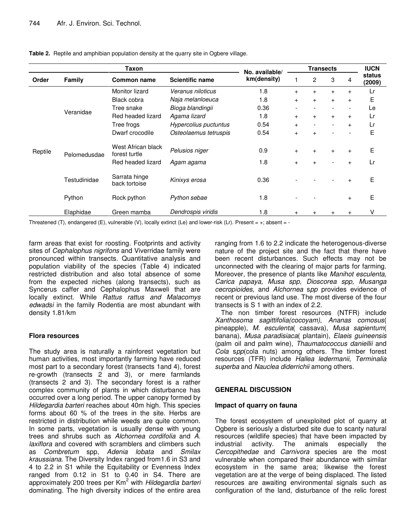| Taxon   |              |                                     | No. available/         | <b>Transects</b> |                          |                          |                | <b>IUCN</b> |                  |  |
|---------|--------------|-------------------------------------|------------------------|------------------|--------------------------|--------------------------|----------------|-------------|------------------|--|
| Order   | Family       | <b>Common name</b>                  | <b>Scientific name</b> | km(density)      |                          | $\overline{c}$           | 3              | 4           | status<br>(2009) |  |
| Reptile | Veranidae    | Monitor lizard                      | Veranus niloticus      | 1.8              | $+$                      | $+$                      | $+$            | $^{+}$      | Lr               |  |
|         |              | Black cobra                         | Naja melanloeuca       | 1.8              | $\ddot{}$                | $\ddot{}$                | $+$            | $+$         | Е                |  |
|         |              | Tree snake                          | Bioga blandingii       | 0.36             | $\overline{\phantom{0}}$ | $\overline{\phantom{0}}$ |                |             | Le               |  |
|         |              | Red headed lizard                   | Agama lizard           | 1.8              | $+$                      | $+$                      | $+$            | $+$         | Lr               |  |
|         |              | Tree frogs                          | Hypercolius puctuntus  | 0.54             | $+$                      | $\overline{\phantom{a}}$ | $\blacksquare$ | $+$         | Lr               |  |
|         |              | Dwarf crocodile                     | Osteolaemus tetruspis  | 0.54             | $\ddot{}$                | $+$                      |                |             | Е                |  |
|         | Pelomedusdae | West African black<br>forest turtle | Pelusios niger         | 0.9              | $+$                      | $+$                      | $+$            | $^{+}$      | Е                |  |
|         |              | Red headed lizard                   | Agam agama             | 1.8              | $+$                      | $\ddot{}$                |                |             | Lr               |  |
|         | Testudinidae | Sarrata hinge<br>back tortoise      | Kinixys erosa          | 0.36             |                          |                          |                |             | E                |  |
|         | Python       | Rock python                         | Python sebae           | 1.8              |                          |                          |                | $+$         | Е                |  |
|         | Elaphidae    | Green mamba                         | Dendrospis viridis     | 1.8              |                          | $\ddot{}$                |                |             | V                |  |

**Table 2.** Reptile and amphibian population density at the quarry site in Ogbere village.

Threatened (T), endangered (E), vulnerable (V), locally extinct (Le) and lower-risk (Lr). Present =  $+$ ; absent = -

farm areas that exist for roosting. Footprints and activity sites of *Cephalophus nigrifons* and Viverridae family were pronounced within transects. Quantitative analysis and population viability of the species (Table 4) indicated restricted distribution and also total absence of some from the expected niches (along transects), such as Syncerus caffer and Cephalophus Maxweli that are locally extinct. While *Rattus rattus and Malacomys edwadsi* in the family Rodentia are most abundant with density 1.81/km

## **Flora resources**

The study area is naturally a rainforest vegetation but human activities, most importantly farming have reduced most part to a secondary forest (transects 1and 4), forest re-growth (transects 2 and 3), or mere farmlands (transects 2 and 3). The secondary forest is a rather complex community of plants in which disturbance has occurred over a long period. The upper canopy formed by *Hildegardia barteri* reaches about 40m high. This species forms about 60 % of the trees in the site. Herbs are restricted in distribution while weeds are quite common. In some parts, vegetation is usually dense with young trees and shrubs such as *Alchornea cordifolia* and *A. laxiflora* and covered with scramblers and climbers such as *Combretum* spp, *Adenia lobata* and *Smilax kraussiana.* The Diversity Index ranged from1.6 in S3 and 4 to 2.2 in S1 while the Equitability or Evenness Index ranged from 0.12 in S1 to 0.40 in S4. There are approximately 200 trees per Km <sup>2</sup> with *Hildegardia barteri* dominating. The high diversity indices of the entire area ranging from 1.6 to 2.2 indicate the heterogenous-diverse nature of the project site and the fact that there have been recent disturbances. Such effects may not be unconnected with the clearing of major parts for farming. Moreover, the presence of plants like *Manihot esculenta, Carica papaya, Musa spp, Dioscorea spp, Musanga cecropioides,* and *Alchornea* s*pp* provides evidence of recent or previous land use. The most diverse of the four transects is S 1 with an index of 2.2.

The non timber forest resources (NTFR) include *Xanthosoma sagittifolia(cocoyam)*, *Ananas comosus*( pineapple), *M. esculenta*( cassava), *Musa sapientum*( banana), *Musa paradisiaca*( plantain), *Elaeis guineensis* (palm oil and palm wine), *Thaumatococcus daniellii* and *Cola* s*pp*(cola nuts) among others. The timber forest resources (TFR) include *Hallea ledermanii, Terminalia superba* and *Nauclea diderrichii* among others.

## **GENERAL DISCUSSION**

## **Impact of quarry on fauna**

The forest ecosystem of unexploited plot of quarry at Ogbere is seriously a disturbed site due to scanty natural resources (wildlife species) that have been impacted by industrial activity. The animals especially the *Cercopithedae* and *Carnivora* species are the most vulnerable when compared their abundance with similar ecosystem in the same area; likewise the forest vegetation are at the verge of being displaced. The listed resources are awaiting environmental signals such as configuration of the land, disturbance of the relic forest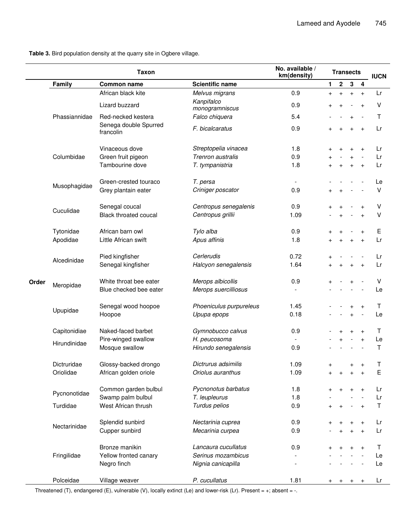**Table 3.** Bird population density at the quarry site in Ogbere village.

|       |               | <b>Taxon</b>                       |                              | No. available /<br>km(density) | <b>Transects</b> | <b>IUCN</b> |                |                                 |         |
|-------|---------------|------------------------------------|------------------------------|--------------------------------|------------------|-------------|----------------|---------------------------------|---------|
|       | Family        | <b>Common name</b>                 | <b>Scientific name</b>       |                                | 1                | $\mathbf 2$ | $\mathbf 3$    | $\overline{\mathbf{4}}$         |         |
|       |               | African black kite                 | Melvus migrans               | 0.9                            | $\ddot{}$        | $+$         | $+$            | $+$                             | Lr      |
|       | Phassiannidae | Lizard buzzard                     | Kanpifalco<br>monogramniscus | 0.9                            |                  |             |                | $\ddot{}$                       | v       |
|       |               | Red-necked kestera                 | Falco chiquera               | 5.4                            |                  |             | $\ddot{}$      |                                 | т       |
|       |               | Senega double Spurred<br>francolin | F. bicalcaratus              | 0.9                            | $\overline{+}$   | $\ddot{}$   | $\ddot{}$      | $+$                             | Lr      |
|       |               | Vinaceous dove                     | Streptopelia vinacea         | 1.8                            |                  |             | $\overline{+}$ | $+$                             | Lr      |
|       | Columbidae    | Green fruit pigeon                 | Trenron australis            | 0.9                            |                  |             | $\ddot{}$      |                                 | Lr      |
|       |               | Tambourine dove                    | T. tympanistria              | 1.8                            |                  |             | $+$            | $\ddot{}$                       | Lr      |
|       |               |                                    |                              |                                |                  |             |                |                                 |         |
|       | Musophagidae  | Green-crested touraco              | T. persa                     |                                |                  |             |                |                                 | Le      |
|       |               | Grey plantain eater                | Criniger poscator            | 0.9                            |                  |             |                |                                 | ٧       |
|       |               | Senegal coucal                     | Centropus senegalenis        | 0.9                            |                  |             |                | $\ddot{}$                       | ٧       |
|       | Cuculidae     | <b>Black throated coucal</b>       | Centropus grillii            | 1.09                           |                  |             |                | $+$                             | ٧       |
|       |               |                                    |                              |                                |                  |             |                |                                 |         |
|       | Tytonidae     | African barn owl                   | Tylo alba                    | 0.9                            |                  |             |                | $\ddot{}$                       | Е       |
|       | Apodidae      | Little African swift               | Apus affinis                 | 1.8                            |                  |             | $\ddot{}$      | $\ddot{}$                       | Lr      |
|       | Alcedinidae   | Pied kingfisher                    | Cerlerudis                   | 0.72                           |                  |             |                |                                 | Lr      |
|       |               | Senegal kingfisher                 | Halcyon senegalensis         | 1.64                           |                  |             | $\ddot{}$      | $\ddot{}$                       | Lr      |
|       |               |                                    |                              |                                |                  |             |                |                                 |         |
| Order |               | White throat bee eater             | Merops albicollis            | 0.9                            |                  |             |                |                                 | V       |
|       | Meropidae     | Blue checked bee eater             | Merops suercilliosus         |                                |                  |             |                |                                 | Le      |
|       |               |                                    |                              |                                |                  |             |                |                                 |         |
|       | Upupidae      | Senegal wood hoopoe                | Phoeniculus purpureleus      | 1.45<br>0.18                   |                  |             | $\overline{+}$ | $+$<br>$\overline{\phantom{a}}$ | Τ       |
|       |               | Hoopoe                             | Upupa epops                  |                                |                  |             | $\ddot{}$      |                                 | Le      |
|       | Capitonidiae  | Naked-faced barbet                 | Gymnobucco calvus            | 0.9                            |                  |             |                | $\ddot{}$                       | Т       |
|       | Hirundinidae  | Pire-winged swallow                | H. peucosoma                 |                                |                  |             |                | $+$                             | Le      |
|       |               | Mosque swallow                     | Hirundo senegalensis         | 0.9                            |                  |             |                |                                 | Τ       |
|       | Dictruridae   | Glossy-backed drongo               | Dictrurus adsimilis          | 1.09                           |                  |             |                |                                 |         |
|       | Oriolidae     | African golden oriole              | Oriolus auranthus            | 1.09                           | $\pmb{+}$        |             |                | $\pmb{+}$<br>$+$                | J.<br>Е |
|       |               |                                    |                              |                                |                  |             |                |                                 |         |
|       |               | Common garden bulbul               | Pycnonotus barbatus          | 1.8                            |                  |             |                | $\ddot{}$                       | Lr      |
|       | Pycnonotidae  | Swamp palm bulbul                  | T. leupleurus                | 1.8                            |                  |             |                |                                 | Lr      |
|       | Turdidae      | West African thrush                | Turdus pelios                | 0.9                            |                  |             |                |                                 | Τ       |
|       |               | Splendid sunbird                   | Nectarinia cuprea            | 0.9                            |                  |             |                |                                 | Lr      |
|       | Nectarinidae  | Cupper sunbird                     | Mecarinia curpea             | 0.9                            |                  |             |                |                                 | Lr      |
|       |               |                                    |                              |                                |                  |             |                | $+$                             |         |
|       |               | Bronze manikin                     | Lancaura cucullatus          | 0.9                            |                  |             |                |                                 | Т       |
|       | Fringilidae   | Yellow fronted canary              | Serinus mozambicus           |                                |                  |             |                |                                 | Le      |
|       |               | Negro finch                        | Nignia canicapilla           |                                |                  |             |                |                                 | Le      |
|       | Polceidae     | Village weaver                     | P. cucullatus                | 1.81                           |                  |             |                |                                 | Lr      |

Threatened (T), endangered (E), vulnerable (V), locally extinct (Le) and lower-risk (Lr). Present = +; absent = -.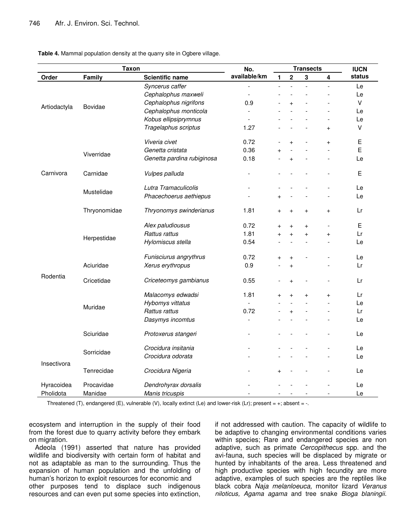**Table 4.** Mammal population density at the quarry site in Ogbere village.

| <b>Taxon</b> |              | No.                        | <b>Transects</b>         |                |           |                | <b>IUCN</b> |        |
|--------------|--------------|----------------------------|--------------------------|----------------|-----------|----------------|-------------|--------|
| Order        | Family       | <b>Scientific name</b>     | available/km             | 1              | $\bf 2$   | $\mathbf{3}$   | 4           | status |
|              |              | Syncerus caffer            |                          | $\overline{a}$ |           | $\overline{a}$ |             | Le     |
| Artiodactyla |              | Cephalophus maxweli        | $\overline{\phantom{a}}$ |                |           |                |             | Le     |
|              |              | Cephalophus nigrifons      | 0.9                      |                | $\ddot{}$ |                |             | V      |
|              | Bovidae      | Cephalophus monticola      |                          |                |           |                |             | Le     |
|              |              | Kobus ellipsiprymnus       |                          |                |           |                |             | Le     |
|              |              | Tragelaphus scriptus       | 1.27                     |                |           |                | $+$         | v      |
|              |              | Viveria civet              | 0.72                     |                | $\ddot{}$ |                | $\ddot{}$   | E      |
|              | Viverridae   | Genetta cristata           | 0.36                     | $^{+}$         |           |                |             | E      |
|              |              | Genetta pardina rubiginosa | 0.18                     |                | $\ddot{}$ |                |             | Le     |
| Carnivora    | Carnidae     | Vulpes palluda             | L.                       |                |           |                |             | Е      |
|              | Mustelidae   | Lutra Tramaculicolis       |                          |                |           |                |             | Le     |
|              |              | Phacechoerus aethiepus     |                          | $^{+}$         |           |                |             | Le     |
|              | Thryonomidae | Thryonomys swinderianus    | 1.81                     | $\ddot{}$      | $+$       | $\ddot{}$      | $+$         | Lr     |
|              | Herpestidae  | Alex paludiousus           | 0.72                     | $\ddot{}$      | $\ddot{}$ | $+$            |             | Е      |
|              |              | Rattus rattus              | 1.81                     | $\ddot{}$      | $\ddot{}$ | $^{+}$         | $\ddot{}$   | Lr     |
|              |              | Hylomiscus stella          | 0.54                     |                |           | $\overline{a}$ |             | Le     |
|              |              | Funisciurus angrythrus     | 0.72                     | $\pmb{+}$      | $\ddot{}$ |                |             | Le     |
|              | Aciuridae    | Xerus erythropus           | 0.9                      |                | $\ddot{}$ |                |             | Lr     |
| Rodentia     | Cricetidae   | Criceteomys gambianus      | 0.55                     |                | $\ddot{}$ |                |             | Lr     |
|              |              | Malacomys edwadsi          | 1.81                     | $\ddot{}$      | $\ddot{}$ | $\ddot{}$      | $\ddot{}$   | Lr     |
|              | Muridae      | Hybomys vittatus           |                          |                |           |                |             | Le     |
|              |              | Rattus rattus              | 0.72                     |                | $\ddot{}$ |                |             | Lr     |
|              |              | Dasymys incomtus           |                          |                |           |                |             | Le     |
|              | Sciuridae    | Protoxerus stangeri        |                          |                |           |                |             | Le     |
| Insectivora  | Sorricidae   | Crocidura insitania        |                          |                |           |                |             | Le     |
|              |              | Crocidura odorata          |                          |                |           |                |             | Le     |
|              | Tenrecidae   | Crocidura Nigeria          |                          | $\ddot{}$      |           |                |             | Le     |
| Hyracoidea   | Procavidae   | Dendrohyrax dorsalis       |                          |                |           |                |             | Le     |
| Pholidota    | Manidae      | Manis tricuspis            |                          |                |           |                |             | Le     |

Threatened (T), endangered (E), vulnerable (V), locally extinct (Le) and lower-risk (Lr); present = +; absent = -.

ecosystem and interruption in the supply of their food from the forest due to quarry activity before they embark on migration.

Adeola (1991) asserted that nature has provided wildlife and biodiversity with certain form of habitat and not as adaptable as man to the surrounding. Thus the expansion of human population and the unfolding of human's horizon to exploit resources for economic and other purposes tend to displace such indigenous resources and can even put some species into extinction,

if not addressed with caution. The capacity of wildlife to be adaptive to changing environmental conditions varies within species; Rare and endangered species are non adaptive, such as primate *Cercopithecus* spp. and the avi-fauna, such species will be displaced by migrate or hunted by inhabitants of the area. Less threatened and high productive species with high fecundity are more adaptive, examples of such species are the reptiles like black cobra *Naja melanloeuca,* monitor lizard *Veranus niloticus, Agama agama* and tree snake *Bioga blaningii.*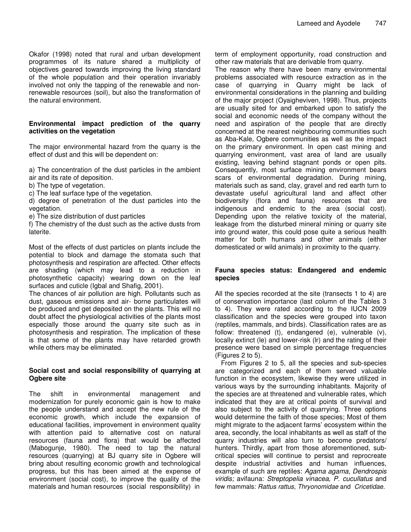Okafor (1998) noted that rural and urban development programmes of its nature shared a multiplicity of objectives geared towards improving the living standard of the whole population and their operation invariably involved not only the tapping of the renewable and nonrenewable resources (soil), but also the transformation of the natural environment.

#### **Environmental impact prediction of the quarry activities on the vegetation**

The major environmental hazard from the quarry is the effect of dust and this will be dependent on:

- a) The concentration of the dust particles in the ambient
- air and its rate of deposition.
- b) The type of vegetation.
- c) The leaf surface type of the vegetation.

d) degree of penetration of the dust particles into the vegetation.

e) The size distribution of dust particles

f) The chemistry of the dust such as the active dusts from laterite.

Most of the effects of dust particles on plants include the potential to block and damage the stomata such that photosynthesis and respiration are affected. Other effects are shading (which may lead to a reduction in photosynthetic capacity) wearing down on the leaf surfaces and cuticle (Igbal and Shafig, 2001).

The chances of air pollution are high. Pollutants such as dust, gaseous emissions and air- borne particulates will be produced and get deposited on the plants. This will no doubt affect the physiological activities of the plants most especially those around the quarry site such as in photosynthesis and respiration. The implication of these is that some of the plants may have retarded growth while others may be eliminated.

# **Social cost and social responsibility of quarrying at Ogbere site**

The shift in environmental management and modernization for purely economic gain is how to make the people understand and accept the new rule of the economic growth, which include the expansion of educational facilities, improvement in environment quality with attention paid to alternative cost on natural resources (fauna and flora) that would be affected (Mabogunje, 1980). The need to tap the natural resources (quarrying) at BJ quarry site in Ogbere will bring about resulting economic growth and technological progress, but this has been aimed at the expense of environment (social cost), to improve the quality of the materials and human resources (social responsibility) in

term of employment opportunity, road construction and other raw materials that are derivable from quarry.

The reason why there have been many environmental problems associated with resource extraction as in the case of quarrying in Quarry might be lack of environmental considerations in the planning and building of the major project (Oyaigheviven, 1998). Thus, projects are usually sited for and embarked upon to satisfy the social and economic needs of the company without the need and aspiration of the people that are directly concerned at the nearest neighbouring communities such as Aba-Kale, Ogbere communities as well as the impact on the primary environment. In open cast mining and quarrying environment, vast area of land are usually existing, leaving behind stagnant ponds or open pits. Consequently, most surface mining environment bears scars of environmental degradation. During mining, materials such as sand, clay, gravel and red earth turn to devastate useful agricultural land and affect other biodiversity (flora and fauna) resources that are indigenous and endemic to the area (social cost). Depending upon the relative toxicity of the material, leakage from the disturbed mineral mining or quarry site into ground water, this could pose quite a serious health matter for both humans and other animals (either domesticated or wild animals) in proximity to the quarry.

## **Fauna species status: Endangered and endemic species**

All the species recorded at the site (transects 1 to 4) are of conservation importance (last column of the Tables 3 to 4). They were rated according to the IUCN 2009 classification and the species were grouped into taxon (reptiles, mammals, and birds). Classification rates are as follow: threatened (t), endangered (e), vulnerable (v), locally extinct (le) and lower-risk (lr) and the rating of their presence were based on simple percentage frequencies (Figures 2 to 5).

From Figures 2 to 5, all the species and sub-species are categorized and each of them served valuable function in the ecosystem, likewise they were utilized in various ways by the surrounding inhabitants. Majority of the species are at threatened and vulnerable rates, which indicated that they are at critical points of survival and also subject to the activity of quarrying. Three options would determine the faith of those species; Most of them might migrate to the adjacent farms' ecosystem within the area, secondly, the local inhabitants as well as staff of the quarry industries will also turn to become predators/ hunters. Thirdly, apart from those aforementioned, subcritical species will continue to persist and reprocreate despite industrial activities and human influences, example of such are reptiles: *Agama agama*, *Dendrospis viridis;* avifauna: *Streptopelia vinacea, P. cucullatus* and few mammals: *Rattus rattus, Thryonomidae* and *Cricetidae.*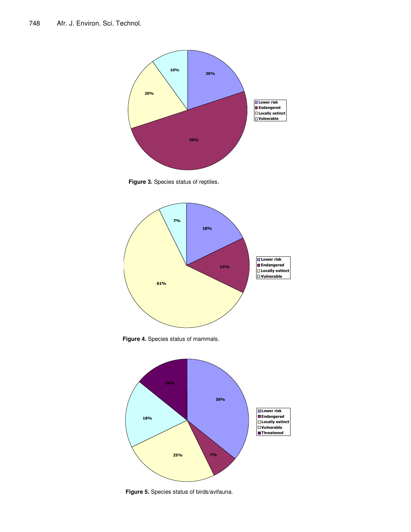









**Figure 5.** Species status of birds/avifauna.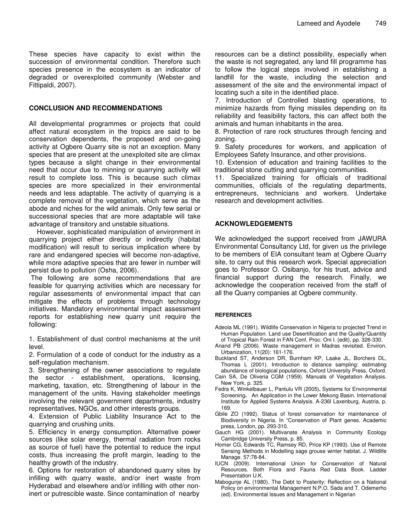These species have capacity to exist within the succession of environmental condition. Therefore such species presence in the ecosystem is an indicator of degraded or overexploited community (Webster and Fittipaldi, 2007).

#### **CONCLUSION AND RECOMMENDATIONS**

All developmental programmes or projects that could affect natural ecosystem in the tropics are said to be conservation dependents, the proposed and on-going activity at Ogbere Quarry site is not an exception. Many species that are present at the unexploited site are climax types because a slight change in their environmental need that occur due to minning or quarrying activity will result to complete loss. This is because such climax species are more specialized in their environmental needs and less adaptable. The activity of quarrying is a complete removal of the vegetation, which serve as the abode and niches for the wild animals. Only few serial or successional species that are more adaptable will take advantage of transitory and unstable situations.

However, sophisticated manipulation of environment in quarrying project either directly or indirectly (habitat modification) will result to serious implication where by rare and endangered species will become non-adaptive, while more adaptive species that are fewer in number will persist due to pollution (Osha, 2006).

The following are some recommendations that are feasible for quarrying activities which are necessary for regular assessments of environmental impact that can mitigate the effects of problems through technology initiatives. Mandatory environmental impact assessment reports for establishing new quarry unit require the following:

1. Establishment of dust control mechanisms at the unit level.

2. Formulation of a code of conduct for the industry as a self-regulation mechanism.

3. Strengthening of the owner associations to regulate the sector - establishment, operations, licensing, marketing, taxation, etc. Strengthening of labour in the management of the units. Having stakeholder meetings involving the relevant government departments, industry representatives, NGOs, and other interests groups.

4. Extension of Public Liability Insurance Act to the quarrying and crushing units.

5. Efficiency in energy consumption. Alternative power sources (like solar energy, thermal radiation from rocks as source of fuel) have the potential to reduce the input costs, thus increasing the profit margin, leading to the healthy growth of the industry.

6. Options for restoration of abandoned quarry sites by infilling with quarry waste, and/or inert waste from Hyderabad and elsewhere and/or infilling with other noninert or putrescible waste. Since contamination of nearby

resources can be a distinct possibility, especially when the waste is not segregated, any land fill programme has to follow the logical steps involved in establishing a landfill for the waste, including the selection and assessment of the site and the environmental impact of locating such a site in the identified place.

7. Introduction of Controlled blasting operations, to minimize hazards from flying missiles depending on its reliability and feasibility factors, this can affect both the animals and human inhabitants in the area.

8. Protection of rare rock structures through fencing and zoning.

9. Safety procedures for workers, and application of Employees Safety Insurance, and other provisions.

10. Extension of education and training facilities to the traditional stone cutting and quarrying communities.

11. Specialized training for officials of traditional communities, officials of the regulating departments, entrepreneurs, technicians and workers. Undertake research and development activities.

#### **ACKNOWLEDGEMENTS**

We acknowledged the support received from JAWURA Environmental Consultancy Ltd, for given us the privilege to be members of EIA consultant team at Ogbere Quarry site, to carry out this research work. Special appreciation goes to Professor O. Osibanjo, for his trust, advice and financial support during the research. Finally, we acknowledge the cooperation received from the staff of all the Quarry companies at Ogbere community.

#### **REFERENCES**

- Adeola ML (1991). Wildlife Conservation in Nigeria to projected Trend in Human Population. Land use Desertification and the Quality/Quantity of Tropical Rain Forest in FAN Conf. Proc. Oni I. (edit), pp. 326-330.
- Anand PB (2006). Waste management in Madras revisited. Environ. Urbanization, 11(20): 161-176.
- Buckland ST, Anderson DR, Burnham KP, Laake JL, Borchers DL, Thomas L (2001). Introduction to distance sampling: estimating abundance of biological populations, Oxford University Press, Oxford.
- Cain SA, De Oliveria CGM (1959). Manuals of Vegetation Analysis. New York, p. 325.
- Fedra K, Winkelbauer L, Pantulu VR (2005)**.** Systems for Environmental Screening**.** An Application in the Lower Mekong Basin. International Institute for Applied Systems Analysis. A-236l Laxenburg, Austria, p. 169.
- Gbile ZO (1992). Status of forest conservation for maintenance of Biodiversity in Nigeria. In "Conservation of Plant genes. Academic press, London, pp. 293-310.
- Gauch HG (2001). Multivanate Analysis in Community Ecology Cambridge University Press, p. 85.
- Homer CG, Edwards TC, Ramsey RD, Price KP (1993). Use of Remote Sensing Methods in Modelling sage grouse winter habitat. J. Wildlife Manage*.* 57:78-84.
- IUCN (2009). International Union for Conservation of Natural Resources. Both Flora and Fauna Red Data Book. Ladder Presentation U.K.
- Mabogunje AL (1980). The Debt to Posterity: Reflection on a National Policy on environmental Management N.P.O. Sada and T. Odemerho (ed). Environmental Issues and Management in Nigerian